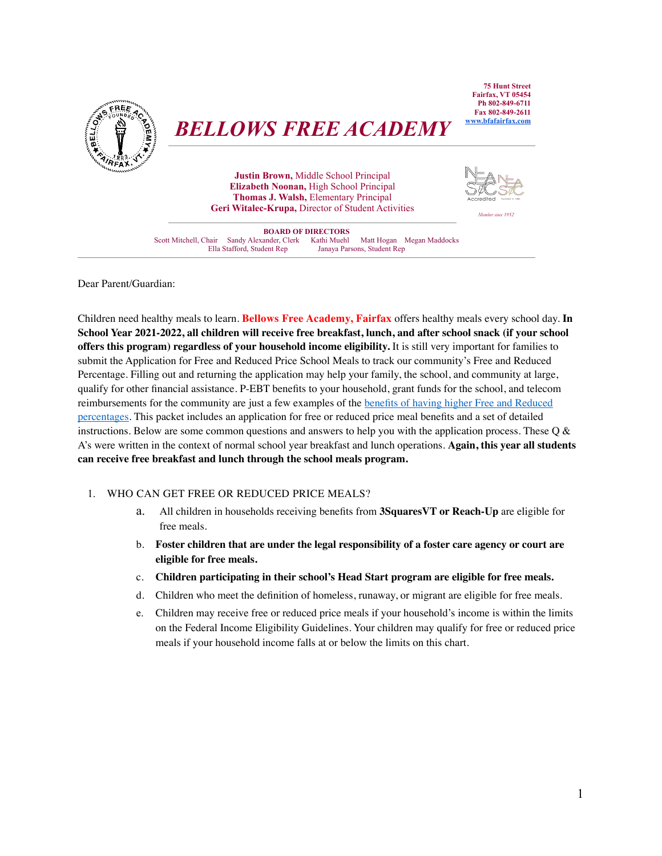

# *BELLOWS FREE ACADEMY*

**Justin Brown,** Middle School Principal **Elizabeth Noonan,** High School Principal **Thomas J. Walsh,** Elementary Principal **Geri Witalec-Krupa,** Director of Student Activities *Member since 1952*



**BOARD OF DIRECTORS** Scott Mitchell, Chair Sandy Alexander, Clerk Kathi Muehl Matt Hogan Megan Maddocks Janaya Parsons, Student Rep

Dear Parent/Guardian:

Children need healthy meals to learn. **Bellows Free Academy, Fairfax** offers healthy meals every school day. **In School Year 2021-2022, all children will receive free breakfast, lunch, and after school snack (if your school offers this program) regardless of your household income eligibility.** It is still very important for families to submit the Application for Free and Reduced Price School Meals to track our community's Free and Reduced Percentage. Filling out and returning the application may help your family, the school, and community at large, qualify for other financial assistance. P-EBT benefits to your household, grant funds for the school, and telecom reimbursements for the community are just a few examples of the [benefits of having higher Free and Reduced](https://education.vermont.gov/documents/benefits-having-higher-free-reduced-percentages)  [percentages](https://education.vermont.gov/documents/benefits-having-higher-free-reduced-percentages). This packet includes an application for free or reduced price meal benefits and a set of detailed instructions. Below are some common questions and answers to help you with the application process. These Q & A's were written in the context of normal school year breakfast and lunch operations. **Again, this year all students can receive free breakfast and lunch through the school meals program.**

#### 1. WHO CAN GET FREE OR REDUCED PRICE MEALS?

- a. All children in households receiving benefits from **3SquaresVT or Reach-Up** are eligible for free meals.
- b. **Foster children that are under the legal responsibility of a foster care agency or court are eligible for free meals.**
- c. **Children participating in their school's Head Start program are eligible for free meals.**
- d. Children who meet the definition of homeless, runaway, or migrant are eligible for free meals.
- e. Children may receive free or reduced price meals if your household's income is within the limits on the Federal Income Eligibility Guidelines. Your children may qualify for free or reduced price meals if your household income falls at or below the limits on this chart.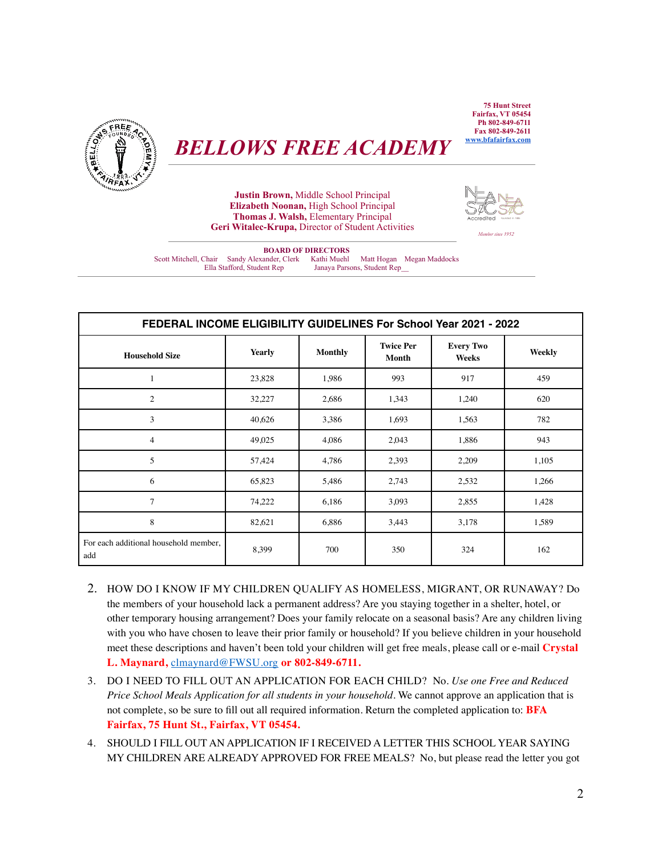*BELLOWS FREE ACADEMY*



**Justin Brown,** Middle School Principal **Elizabeth Noonan,** High School Principal **Thomas J. Walsh,** Elementary Principal **Geri Witalec-Krupa,** Director of Student Activities *Member since 1952*



**BOARD OF DIRECTORS** Scott Mitchell, Chair Sandy Alexander, Clerk Kathi Muehl Matt Hogan Megan Maddocks Janaya Parsons, Student Rep\_

| FEDERAL INCOME ELIGIBILITY GUIDELINES For School Year 2021 - 2022 |               |                |                           |                           |        |  |  |  |
|-------------------------------------------------------------------|---------------|----------------|---------------------------|---------------------------|--------|--|--|--|
| <b>Household Size</b>                                             | <b>Yearly</b> | <b>Monthly</b> | <b>Twice Per</b><br>Month | <b>Every Two</b><br>Weeks | Weekly |  |  |  |
| 1                                                                 | 23,828        | 1,986          | 993                       | 917                       | 459    |  |  |  |
| $\overline{c}$                                                    | 32,227        | 2,686          | 1,343                     | 1,240                     | 620    |  |  |  |
| 3                                                                 | 40,626        | 3,386          | 1,693                     | 1,563                     | 782    |  |  |  |
| $\overline{4}$                                                    | 49,025        | 4,086          | 2,043                     | 1,886                     | 943    |  |  |  |
| 5                                                                 | 57,424        | 4,786          | 2,393                     | 2,209                     | 1,105  |  |  |  |
| 6                                                                 | 65,823        | 5,486          | 2,743                     | 2,532                     | 1,266  |  |  |  |
| $\tau$                                                            | 74,222        | 6,186          | 3,093                     | 2,855                     | 1,428  |  |  |  |
| 8                                                                 | 82,621        | 6,886          | 3,443                     | 3,178                     | 1,589  |  |  |  |
| For each additional household member,<br>add                      | 8,399         | 700            | 350                       | 324                       | 162    |  |  |  |

- 2. HOW DO I KNOW IF MY CHILDREN QUALIFY AS HOMELESS, MIGRANT, OR RUNAWAY? Do the members of your household lack a permanent address? Are you staying together in a shelter, hotel, or other temporary housing arrangement? Does your family relocate on a seasonal basis? Are any children living with you who have chosen to leave their prior family or household? If you believe children in your household meet these descriptions and haven't been told your children will get free meals, please call or e-mail **Crystal L. Maynard,** [clmaynard@FWSU.org](mailto:clmaynard@FWSU.org) **or 802-849-6711.**
- 3. DO I NEED TO FILL OUT AN APPLICATION FOR EACH CHILD? No. *Use one Free and Reduced Price School Meals Application for all students in your household.* We cannot approve an application that is not complete, so be sure to fill out all required information. Return the completed application to: **BFA Fairfax, 75 Hunt St., Fairfax, VT 05454.**
- 4. SHOULD I FILL OUT AN APPLICATION IF I RECEIVED A LETTER THIS SCHOOL YEAR SAYING MY CHILDREN ARE ALREADY APPROVED FOR FREE MEALS? No, but please read the letter you got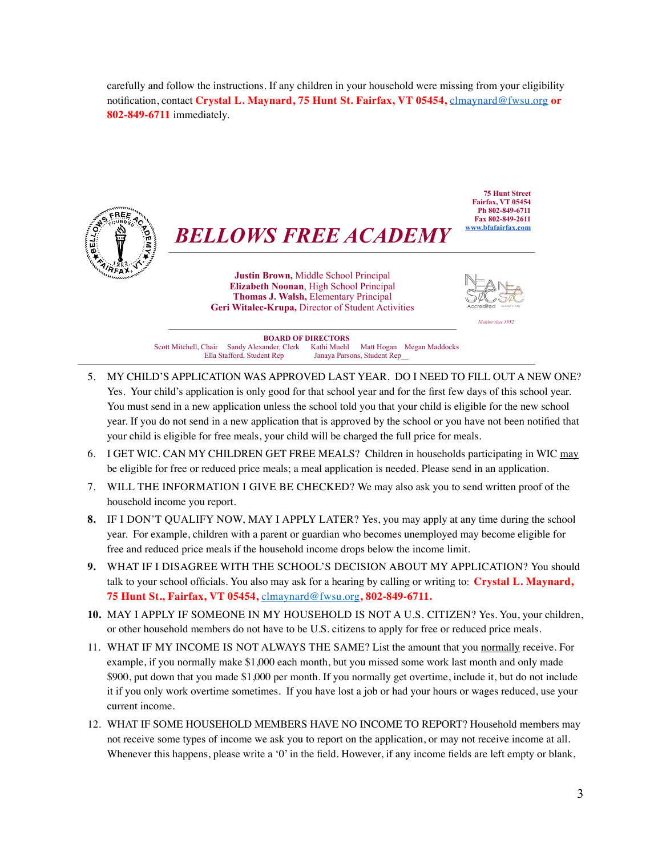carefully and follow the instructions. If any children in your household were missing from your eligibility notification, contact **Crystal L. Maynard, 75 Hunt St. Fairfax, VT 05454,** [clmaynard@fwsu.org](mailto:clmaynard@fwsu.org) **or 802-849-6711** immediately.



- 5. MY CHILD'S APPLICATION WAS APPROVED LAST YEAR. DO I NEED TO FILL OUT A NEW ONE? Yes. Your child's application is only good for that school year and for the first few days of this school year. You must send in a new application unless the school told you that your child is eligible for the new school year. If you do not send in a new application that is approved by the school or you have not been notified that your child is eligible for free meals, your child will be charged the full price for meals.
- 6. I GET WIC. CAN MY CHILDREN GET FREE MEALS? Children in households participating in WIC may be eligible for free or reduced price meals; a meal application is needed. Please send in an application.
- 7. WILL THE INFORMATION I GIVE BE CHECKED? We may also ask you to send written proof of the household income you report.
- **8.** IF I DON'T QUALIFY NOW, MAY I APPLY LATER? Yes, you may apply at any time during the school year. For example, children with a parent or guardian who becomes unemployed may become eligible for free and reduced price meals if the household income drops below the income limit.
- **9.** WHAT IF I DISAGREE WITH THE SCHOOL'S DECISION ABOUT MY APPLICATION? You should talk to your school officials. You also may ask for a hearing by calling or writing to: **Crystal L. Maynard, 75 Hunt St., Fairfax, VT 05454,** [clmaynard@fwsu.org](mailto:clmaynard@fwsu.org)**, 802-849-6711.**
- **10.** MAY I APPLY IF SOMEONE IN MY HOUSEHOLD IS NOT A U.S. CITIZEN? Yes. You, your children, or other household members do not have to be U.S. citizens to apply for free or reduced price meals.
- 11. WHAT IF MY INCOME IS NOT ALWAYS THE SAME? List the amount that you normally receive. For example, if you normally make \$1,000 each month, but you missed some work last month and only made \$900, put down that you made \$1,000 per month. If you normally get overtime, include it, but do not include it if you only work overtime sometimes. If you have lost a job or had your hours or wages reduced, use your current income.
- 12. WHAT IF SOME HOUSEHOLD MEMBERS HAVE NO INCOME TO REPORT? Household members may not receive some types of income we ask you to report on the application, or may not receive income at all. Whenever this happens, please write a '0' in the field. However, if any income fields are left empty or blank,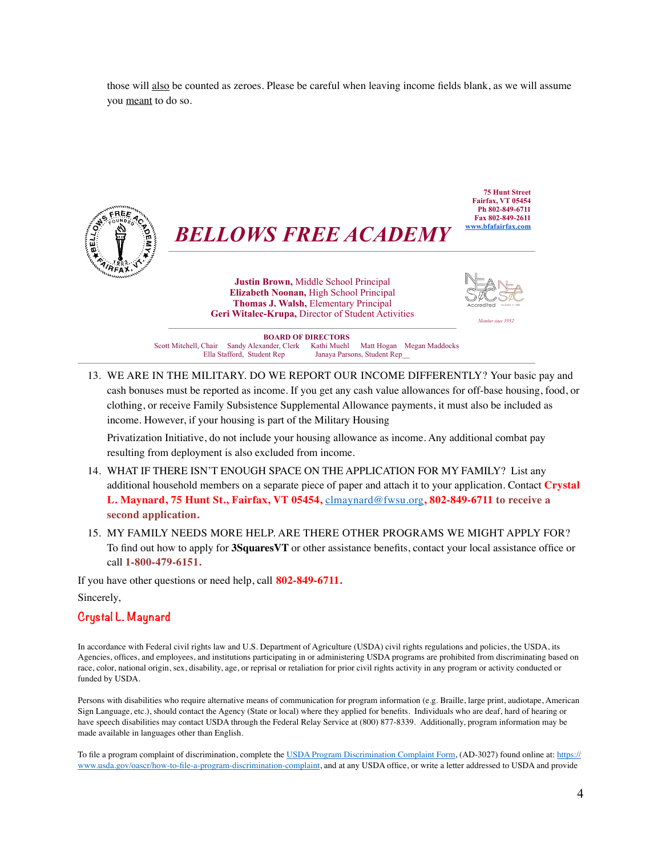those will also be counted as zeroes. Please be careful when leaving income fields blank, as we will assume you meant to do so.



*BELLOWS FREE ACADEMY*

**Justin Brown,** Middle School Principal **Elizabeth Noonan,** High School Principal **Thomas J. Walsh,** Elementary Principal **Geri Witalec-Krupa,** Director of Student Activities *Member since 1952*



**75 Hunt Street Fairfax, VT 05454 Ph 802-849-6711 Fax 802-849-2611 [www.bfafairfax.com](http://www.bfafairfax.com)**

**BOARD OF DIRECTORS**<br>ander. Clerk Kathi Muehl Scott Mitchell, Chair Sandy Alexander, Clerk Kathi Muehl Matt Hogan Megan Maddocks Ella Stafford, Student Rep Janaya Parsons, Student Rep\_\_

13. WE ARE IN THE MILITARY. DO WE REPORT OUR INCOME DIFFERENTLY? Your basic pay and cash bonuses must be reported as income. If you get any cash value allowances for off-base housing, food, or clothing, or receive Family Subsistence Supplemental Allowance payments, it must also be included as income. However, if your housing is part of the Military Housing

Privatization Initiative, do not include your housing allowance as income. Any additional combat pay resulting from deployment is also excluded from income.

- 14. WHAT IF THERE ISN'T ENOUGH SPACE ON THE APPLICATION FOR MY FAMILY? List any additional household members on a separate piece of paper and attach it to your application. Contact **Crystal L. Maynard, 75 Hunt St., Fairfax, VT 05454,** [clmaynard@fwsu.org](mailto:clmaynard@fwsu.org)**, 802-849-6711 to receive a second application.**
- 15. MY FAMILY NEEDS MORE HELP. ARE THERE OTHER PROGRAMS WE MIGHT APPLY FOR? To find out how to apply for **3SquaresVT** or other assistance benefits, contact your local assistance office or call **1-800-479-6151.**

If you have other questions or need help, call **802-849-6711.**

Sincerely,

#### **Crystal L. Maynard**

In accordance with Federal civil rights law and U.S. Department of Agriculture (USDA) civil rights regulations and policies, the USDA, its Agencies, offices, and employees, and institutions participating in or administering USDA programs are prohibited from discriminating based on race, color, national origin, sex, disability, age, or reprisal or retaliation for prior civil rights activity in any program or activity conducted or funded by USDA.

Persons with disabilities who require alternative means of communication for program information (e.g. Braille, large print, audiotape, American Sign Language, etc.), should contact the Agency (State or local) where they applied for benefits. Individuals who are deaf, hard of hearing or have speech disabilities may contact USDA through the Federal Relay Service at (800) 877-8339. Additionally, program information may be made available in languages other than English.

To file a program complaint of discrimination, complete the [USDA Program Discrimination Complaint Form](https://www.usda.gov/sites/default/files/documents/USDA-OASCR%2520P-Complaint-Form-0508-0002-508-11-28-17Fax2Mail.pdf), (AD-3027) found online at: [https://](https://www.usda.gov/oascr/how-to-file-a-program-discrimination-complaint) [www.usda.gov/oascr/how-to-file-a-program-discrimination-complaint,](https://www.usda.gov/oascr/how-to-file-a-program-discrimination-complaint) and at any USDA office, or write a letter addressed to USDA and provide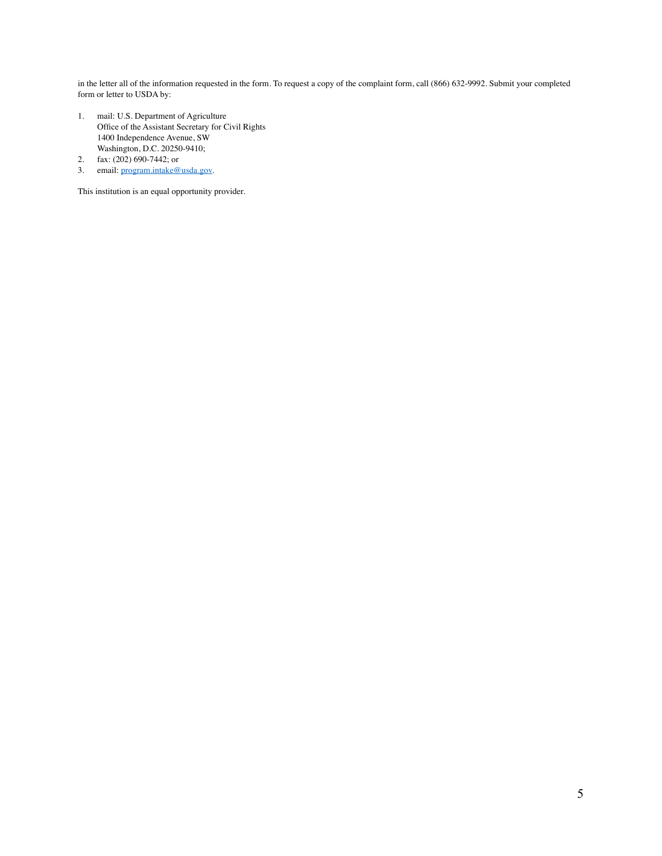in the letter all of the information requested in the form. To request a copy of the complaint form, call (866) 632-9992. Submit your completed form or letter to USDA by:

- 1. mail: U.S. Department of Agriculture Office of the Assistant Secretary for Civil Rights 1400 Independence Avenue, SW Washington, D.C. 20250-9410;
- 2. fax: (202) 690-7442; or
- 3. email: [program.intake@usda.gov](mailto:program.intake@usda.gov).

This institution is an equal opportunity provider.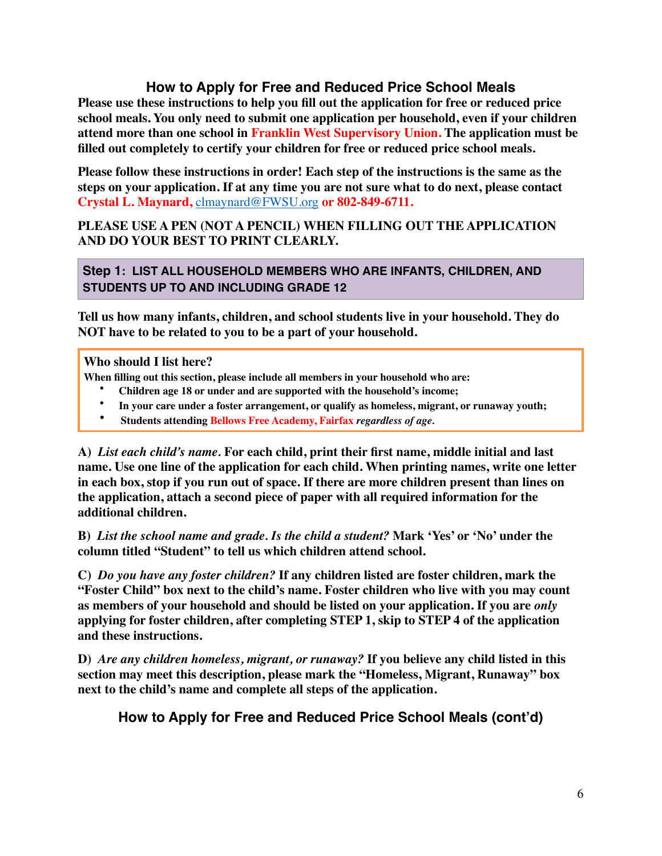# **How to Apply for Free and Reduced Price School Meals**

**Please use these instructions to help you fill out the application for free or reduced price school meals. You only need to submit one application per household, even if your children attend more than one school in Franklin West Supervisory Union. The application must be filled out completely to certify your children for free or reduced price school meals.**

**Please follow these instructions in order! Each step of the instructions is the same as the steps on your application. If at any time you are not sure what to do next, please contact Crystal L. Maynard,** [clmaynard@FWSU.org](mailto:clmaynard@FWSU.org) **or 802-849-6711.**

## **PLEASE USE A PEN (NOT A PENCIL) WHEN FILLING OUT THE APPLICATION AND DO YOUR BEST TO PRINT CLEARLY.**

## **Step 1: LIST ALL HOUSEHOLD MEMBERS WHO ARE INFANTS, CHILDREN, AND STUDENTS UP TO AND INCLUDING GRADE 12**

**Tell us how many infants, children, and school students live in your household. They do NOT have to be related to you to be a part of your household.**

**Who should I list here?**

- **When filling out this section, please include all members in your household who are:** 
	- **Children age 18 or under and are supported with the household's income;**
	- **In your care under a foster arrangement, or qualify as homeless, migrant, or runaway youth;**
	- **Students attending Bellows Free Academy, Fairfax** *regardless of age.*

**A)** *List each child's name.* **For each child, print their first name, middle initial and last name. Use one line of the application for each child. When printing names, write one letter in each box, stop if you run out of space. If there are more children present than lines on the application, attach a second piece of paper with all required information for the additional children.**

**B)** *List the school name and grade. Is the child a student?* **Mark 'Yes' or 'No' under the column titled "Student" to tell us which children attend school.** 

**C)** *Do you have any foster children?* **If any children listed are foster children, mark the "Foster Child" box next to the child's name. Foster children who live with you may count as members of your household and should be listed on your application. If you are** *only* **applying for foster children, after completing STEP 1, skip to STEP 4 of the application and these instructions.**

**D)** *Are any children homeless, migrant, or runaway?* **If you believe any child listed in this section may meet this description, please mark the "Homeless, Migrant, Runaway" box next to the child's name and complete all steps of the application.**

**How to Apply for Free and Reduced Price School Meals (cont'd)**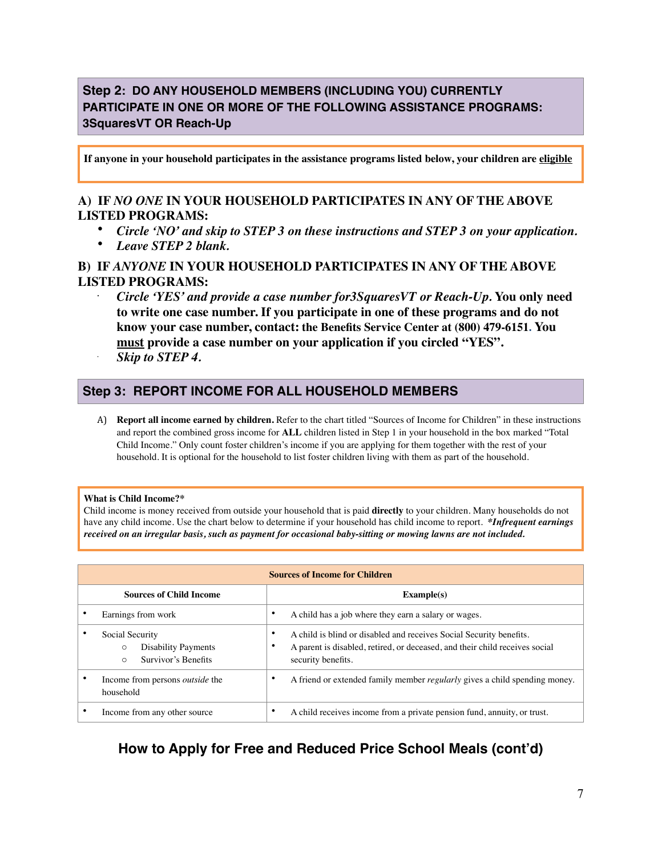# **Step 2: DO ANY HOUSEHOLD MEMBERS (INCLUDING YOU) CURRENTLY PARTICIPATE IN ONE OR MORE OF THE FOLLOWING ASSISTANCE PROGRAMS: 3SquaresVT OR Reach-Up**

**If anyone in your household participates in the assistance programs listed below, your children are eligible**

### **A) IF** *NO ONE* **IN YOUR HOUSEHOLD PARTICIPATES IN ANY OF THE ABOVE LISTED PROGRAMS:**

- *Circle 'NO' and skip to STEP 3 on these instructions and STEP 3 on your application.*
- *Leave STEP 2 blank.*

### **B) IF** *ANYONE* **IN YOUR HOUSEHOLD PARTICIPATES IN ANY OF THE ABOVE LISTED PROGRAMS:**

• *Circle 'YES' and provide a case number for3SquaresVT or Reach-Up.* **You only need to write one case number. If you participate in one of these programs and do not know your case number, contact: the Benefits Service Center at (800) 479-6151. You must provide a case number on your application if you circled "YES".** *Skip to STEP 4.*

### **Step 3: REPORT INCOME FOR ALL HOUSEHOLD MEMBERS**

A) **Report all income earned by children.** Refer to the chart titled "Sources of Income for Children" in these instructions and report the combined gross income for **ALL** children listed in Step 1 in your household in the box marked "Total Child Income." Only count foster children's income if you are applying for them together with the rest of your household. It is optional for the household to list foster children living with them as part of the household.

#### **What is Child Income?\***

•

Child income is money received from outside your household that is paid **directly** to your children. Many households do not have any child income. Use the chart below to determine if your household has child income to report. *\*Infrequent earnings received on an irregular basis, such as payment for occasional baby-sitting or mowing lawns are not included.* 

| <b>Sources of Income for Children</b> |                                                                                            |        |                                                                                                                                                                          |  |  |  |
|---------------------------------------|--------------------------------------------------------------------------------------------|--------|--------------------------------------------------------------------------------------------------------------------------------------------------------------------------|--|--|--|
|                                       | <b>Sources of Child Income</b>                                                             |        | Example(s)                                                                                                                                                               |  |  |  |
|                                       | Earnings from work                                                                         | ٠      | A child has a job where they earn a salary or wages.                                                                                                                     |  |  |  |
|                                       | Social Security<br><b>Disability Payments</b><br>$\circ$<br>Survivor's Benefits<br>$\circ$ | ٠<br>٠ | A child is blind or disabled and receives Social Security benefits.<br>A parent is disabled, retired, or deceased, and their child receives social<br>security benefits. |  |  |  |
|                                       | Income from persons <i>outside</i> the<br>household                                        | ٠      | A friend or extended family member <i>regularly</i> gives a child spending money.                                                                                        |  |  |  |
|                                       | Income from any other source                                                               | ٠      | A child receives income from a private pension fund, annuity, or trust.                                                                                                  |  |  |  |

# **How to Apply for Free and Reduced Price School Meals (cont'd)**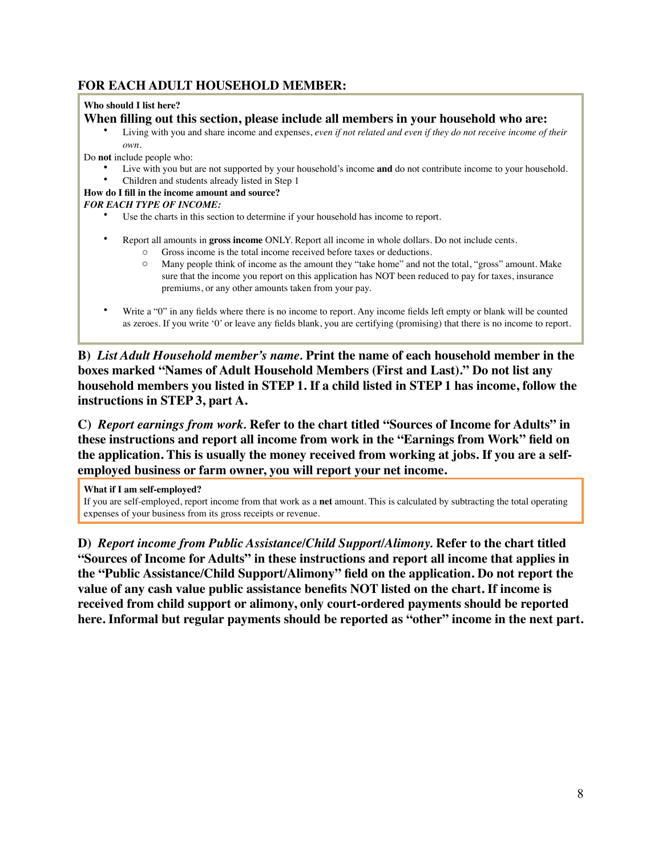## **FOR EACH ADULT HOUSEHOLD MEMBER:**

#### **Who should I list here?**

### **When filling out this section, please include all members in your household who are:**

• Living with you and share income and expenses, *even if not related and even if they do not receive income of their own.*

Do **not** include people who:

- Live with you but are not supported by your household's income **and** do not contribute income to your household.
- Children and students already listed in Step 1

### **How do I fill in the income amount and source?**

### *FOR EACH TYPE OF INCOME:*

- Use the charts in this section to determine if your household has income to report.
- Report all amounts in **gross income** ONLY. Report all income in whole dollars. Do not include cents.
	- o Gross income is the total income received before taxes or deductions.
	- o Many people think of income as the amount they "take home" and not the total, "gross" amount. Make sure that the income you report on this application has NOT been reduced to pay for taxes, insurance premiums, or any other amounts taken from your pay.
- Write a "0" in any fields where there is no income to report. Any income fields left empty or blank will be counted as zeroes. If you write '0' or leave any fields blank, you are certifying (promising) that there is no income to report.

**B)** *List Adult Household member's name.* **Print the name of each household member in the boxes marked "Names of Adult Household Members (First and Last)." Do not list any household members you listed in STEP 1. If a child listed in STEP 1 has income, follow the instructions in STEP 3, part A.**

**C)** *Report earnings from work.* **Refer to the chart titled "Sources of Income for Adults" in these instructions and report all income from work in the "Earnings from Work" field on the application. This is usually the money received from working at jobs. If you are a selfemployed business or farm owner, you will report your net income.**

**What if I am self-employed?**

If you are self-employed, report income from that work as a **net** amount. This is calculated by subtracting the total operating expenses of your business from its gross receipts or revenue.

**D)** *Report income from Public Assistance/Child Support/Alimony.* **Refer to the chart titled "Sources of Income for Adults" in these instructions and report all income that applies in the "Public Assistance/Child Support/Alimony" field on the application. Do not report the value of any cash value public assistance benefits NOT listed on the chart. If income is received from child support or alimony, only court-ordered payments should be reported here. Informal but regular payments should be reported as "other" income in the next part.**